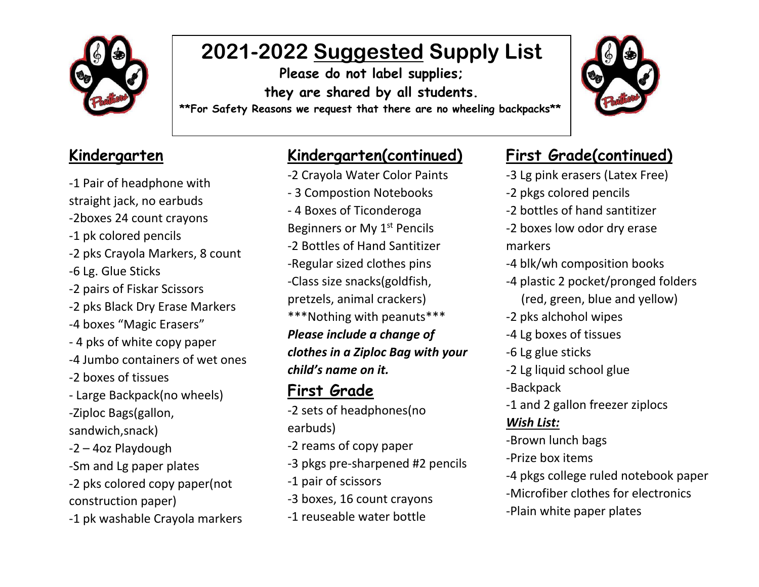

# **2021-2022 Suggested Supply List**

**Please do not label supplies; they are shared by all students.**

**\*\*For Safety Reasons we request that there are no wheeling backpacks\*\***

#### **Kindergarten**

-1 Pair of headphone with straight jack, no earbuds -2boxes 24 count crayons -1 pk colored pencils -2 pks Crayola Markers, 8 count -6 Lg. Glue Sticks -2 pairs of Fiskar Scissors -2 pks Black Dry Erase Markers -4 boxes "Magic Erasers" - 4 pks of white copy paper -4 Jumbo containers of wet ones -2 boxes of tissues - Large Backpack(no wheels) -Ziploc Bags(gallon, sandwich,snack) -2 – 4oz Playdough -Sm and Lg paper plates -2 pks colored copy paper(not construction paper) -1 pk washable Crayola markers

### **Kindergarten(continued)**

- -2 Crayoia water Color Pali<br>- 3 Compostion Notebooks -2 Crayola Water Color Paints
- 4 Boxes of Ticonderoga Beginners or My 1<sup>st</sup> Pencils -2 Bottles of Hand Santitizer -Regular sized clothes pins -Class size snacks(goldfish, pretzels, animal crackers) \*\*\*Nothing with peanuts\*\*\* *Please include a change of clothes in a Ziploc Bag with your child's name on it.*

### **First Grade**

- -2 sets of headphones(no earbuds)
- -2 reams of copy paper
- -3 pkgs pre-sharpened #2 pencils
- -1 pair of scissors
- -3 boxes, 16 count crayons
- -1 reuseable water bottle

#### **First Grade(continued)**

- -3 Lg pink erasers (Latex Free)
- -2 pkgs colored pencils
- -2 bottles of hand santitizer
- -2 boxes low odor dry erase markers
- -4 blk/wh composition books
- -4 plastic 2 pocket/pronged folders (red, green, blue and yellow)
- -2 pks alchohol wipes
- -4 Lg boxes of tissues
- -6 Lg glue sticks
- -2 Lg liquid school glue
- -Backpack
- -1 and 2 gallon freezer ziplocs

#### *Wish List:*

- -Brown lunch bags
- -Prize box items
- -4 pkgs college ruled notebook paper
- -Microfiber clothes for electronics
- -Plain white paper plates

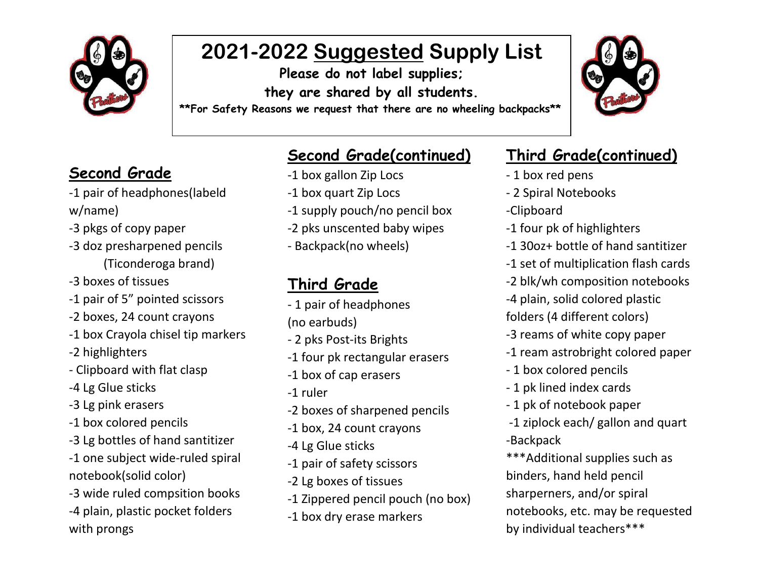

# **2021-2022 Suggested Supply List**

**Please do not label supplies; they are shared by all students.**

**\*\*For Safety Reasons we request that there are no wheeling backpacks\*\***

### **Second Grade**

- -1 pair of headphones(labeld w/name)
- -3 pkgs of copy paper
- -3 doz presharpened pencils (Ticonderoga brand)
- -3 boxes of tissues
- -1 pair of 5" pointed scissors
- -2 boxes, 24 count crayons
- -1 box Crayola chisel tip markers
- -2 highlighters
- Clipboard with flat clasp
- -4 Lg Glue sticks
- -3 Lg pink erasers
- -1 box colored pencils
- -3 Lg bottles of hand santitizer
- -1 one subject wide-ruled spiral notebook(solid color)
- -3 wide ruled compsition books
- -4 plain, plastic pocket folders with prongs

### **Second Grade(continued)**

- -1 box gallon Zip Locs
- -1 box gallon zip Locs<br>-1 box quart Zip Locs
- -1 supply pouch/no pencil box
- -2 pks unscented baby wipes
- Backpack(no wheels)

## **Third Grade**

- 1 pair of headphones (no earbuds)
- 2 pks Post-its Brights
- -1 four pk rectangular erasers
- -1 box of cap erasers
- -1 ruler
- -2 boxes of sharpened pencils
- -1 box, 24 count crayons
- -4 Lg Glue sticks
- -1 pair of safety scissors
- -2 Lg boxes of tissues
- -1 Zippered pencil pouch (no box)
- -1 box dry erase markers

#### **Third Grade(continued)**

- 1 box red pens
- 2 Spiral Notebooks
- -Clipboard
- -1 four pk of highlighters
- -1 30oz+ bottle of hand santitizer
- -1 set of multiplication flash cards
- -2 blk/wh composition notebooks
- -4 plain, solid colored plastic
- folders (4 different colors)
- -3 reams of white copy paper
- -1 ream astrobright colored paper
- 1 box colored pencils
- 1 pk lined index cards
- 1 pk of notebook paper
- -1 ziplock each/ gallon and quart -Backpack
- \*\*\*Additional supplies such as binders, hand held pencil sharperners, and/or spiral notebooks, etc. may be requested by individual teachers\*\*\*